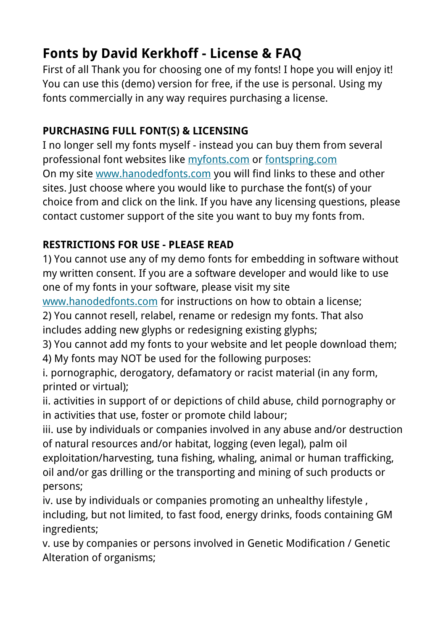## **Fonts by David Kerkhoff - License & FAQ**

First of all Thank you for choosing one of my fonts! I hope you will enjoy it! You can use this (demo) version for free, if the use is personal. Using my fonts commercially in any way requires purchasing a license.

## **PURCHASING FULL FONT(S) & LICENSING**

I no longer sell my fonts myself - instead you can buy them from several professional font websites like [myfonts.com](http://www.myfonts.com/foundry/Hanoded/?refby=david_kerkhoff) or [fontspring.com](https://www.fontspring.com/foundry/hanoded?refby=david_kerkhoff) On my site [www.hanodedfonts.com](http://www.hanodedfonts.com) you will find links to these and other sites. Just choose where you would like to purchase the font(s) of your choice from and click on the link. If you have any licensing questions, please contact customer support of the site you want to buy my fonts from.

## **RESTRICTIONS FOR USE - PLEASE READ**

1) You cannot use any of my demo fonts for embedding in software without my written consent. If you are a software developer and would like to use one of my fonts in your software, please visit my site

[www.hanodedfonts.com](http://www.hanodedfonts.com) for instructions on how to obtain a license;

2) You cannot resell, relabel, rename or redesign my fonts. That also includes adding new glyphs or redesigning existing glyphs;

3) You cannot add my fonts to your website and let people download them;

4) My fonts may NOT be used for the following purposes:

i. pornographic, derogatory, defamatory or racist material (in any form, printed or virtual);

ii. activities in support of or depictions of child abuse, child pornography or in activities that use, foster or promote child labour;

iii. use by individuals or companies involved in any abuse and/or destruction of natural resources and/or habitat, logging (even legal), palm oil exploitation/harvesting, tuna fishing, whaling, animal or human trafficking, oil and/or gas drilling or the transporting and mining of such products or

persons;

iv. use by individuals or companies promoting an unhealthy lifestyle , including, but not limited, to fast food, energy drinks, foods containing GM ingredients;

v. use by companies or persons involved in Genetic Modification / Genetic Alteration of organisms;